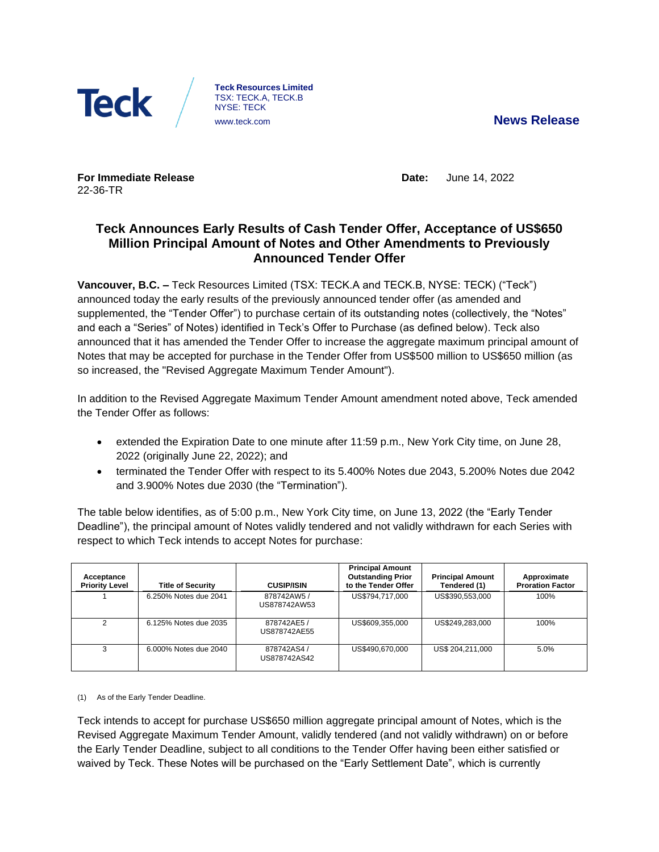

**Teck Resources Limited** TSX: TECK.A, TECK.B NYSE: TECK [www.teck.com](http://www.teck.com/) **News Release**

**For Immediate Release** 22-36-TR

**Date:** June 14, 2022

# **Teck Announces Early Results of Cash Tender Offer, Acceptance of US\$650 Million Principal Amount of Notes and Other Amendments to Previously Announced Tender Offer**

**Vancouver, B.C. –** Teck Resources Limited (TSX: TECK.A and TECK.B, NYSE: TECK) ("Teck") announced today the early results of the previously announced tender offer (as amended and supplemented, the "Tender Offer") to purchase certain of its outstanding notes (collectively, the "Notes" and each a "Series" of Notes) identified in Teck's Offer to Purchase (as defined below). Teck also announced that it has amended the Tender Offer to increase the aggregate maximum principal amount of Notes that may be accepted for purchase in the Tender Offer from US\$500 million to US\$650 million (as so increased, the "Revised Aggregate Maximum Tender Amount").

In addition to the Revised Aggregate Maximum Tender Amount amendment noted above, Teck amended the Tender Offer as follows:

- extended the Expiration Date to one minute after 11:59 p.m., New York City time, on June 28, 2022 (originally June 22, 2022); and
- terminated the Tender Offer with respect to its 5.400% Notes due 2043, 5.200% Notes due 2042 and 3.900% Notes due 2030 (the "Termination").

The table below identifies, as of 5:00 p.m., New York City time, on June 13, 2022 (the "Early Tender Deadline"), the principal amount of Notes validly tendered and not validly withdrawn for each Series with respect to which Teck intends to accept Notes for purchase:

| Acceptance<br><b>Priority Level</b> | <b>Title of Security</b> | <b>CUSIP/ISIN</b>          | <b>Principal Amount</b><br><b>Outstanding Prior</b><br>to the Tender Offer | <b>Principal Amount</b><br>Tendered (1) | Approximate<br><b>Proration Factor</b> |
|-------------------------------------|--------------------------|----------------------------|----------------------------------------------------------------------------|-----------------------------------------|----------------------------------------|
|                                     | 6.250% Notes due 2041    | 878742AW5/<br>US878742AW53 | US\$794.717.000                                                            | US\$390.553.000                         | 100%                                   |
| $\mathcal{P}$                       | 6.125% Notes due 2035    | 878742AE5/<br>US878742AE55 | US\$609,355,000                                                            | US\$249,283,000                         | 100%                                   |
| 3                                   | 6.000% Notes due 2040    | 878742AS4/<br>US878742AS42 | US\$490.670.000                                                            | US\$ 204.211.000                        | 5.0%                                   |

(1) As of the Early Tender Deadline.

Teck intends to accept for purchase US\$650 million aggregate principal amount of Notes, which is the Revised Aggregate Maximum Tender Amount, validly tendered (and not validly withdrawn) on or before the Early Tender Deadline, subject to all conditions to the Tender Offer having been either satisfied or waived by Teck. These Notes will be purchased on the "Early Settlement Date", which is currently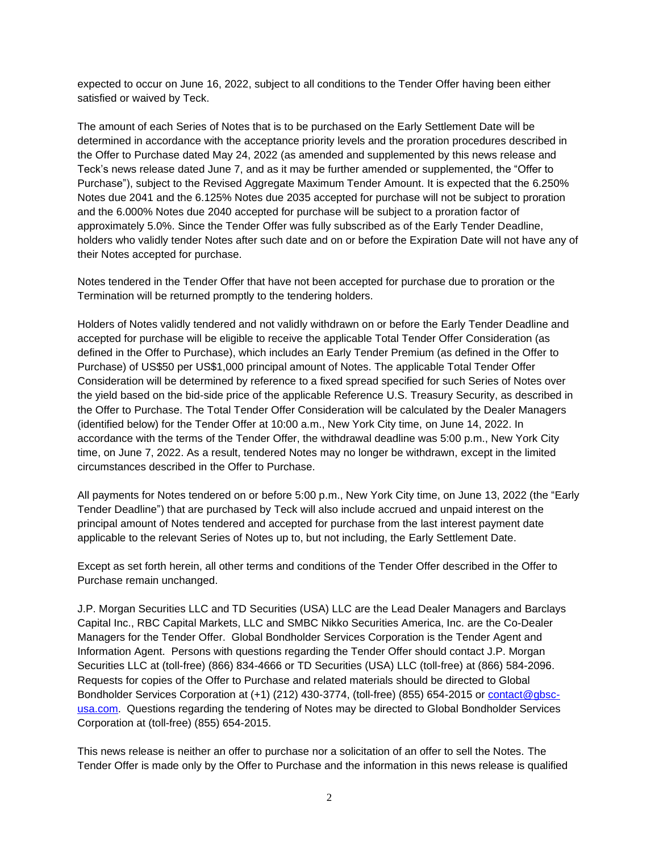expected to occur on June 16, 2022, subject to all conditions to the Tender Offer having been either satisfied or waived by Teck.

The amount of each Series of Notes that is to be purchased on the Early Settlement Date will be determined in accordance with the acceptance priority levels and the proration procedures described in the Offer to Purchase dated May 24, 2022 (as amended and supplemented by this news release and Teck's news release dated June 7, and as it may be further amended or supplemented, the "Offer to Purchase"), subject to the Revised Aggregate Maximum Tender Amount. It is expected that the 6.250% Notes due 2041 and the 6.125% Notes due 2035 accepted for purchase will not be subject to proration and the 6.000% Notes due 2040 accepted for purchase will be subject to a proration factor of approximately 5.0%. Since the Tender Offer was fully subscribed as of the Early Tender Deadline, holders who validly tender Notes after such date and on or before the Expiration Date will not have any of their Notes accepted for purchase.

Notes tendered in the Tender Offer that have not been accepted for purchase due to proration or the Termination will be returned promptly to the tendering holders.

Holders of Notes validly tendered and not validly withdrawn on or before the Early Tender Deadline and accepted for purchase will be eligible to receive the applicable Total Tender Offer Consideration (as defined in the Offer to Purchase), which includes an Early Tender Premium (as defined in the Offer to Purchase) of US\$50 per US\$1,000 principal amount of Notes. The applicable Total Tender Offer Consideration will be determined by reference to a fixed spread specified for such Series of Notes over the yield based on the bid-side price of the applicable Reference U.S. Treasury Security, as described in the Offer to Purchase. The Total Tender Offer Consideration will be calculated by the Dealer Managers (identified below) for the Tender Offer at 10:00 a.m., New York City time, on June 14, 2022. In accordance with the terms of the Tender Offer, the withdrawal deadline was 5:00 p.m., New York City time, on June 7, 2022. As a result, tendered Notes may no longer be withdrawn, except in the limited circumstances described in the Offer to Purchase.

All payments for Notes tendered on or before 5:00 p.m., New York City time, on June 13, 2022 (the "Early Tender Deadline") that are purchased by Teck will also include accrued and unpaid interest on the principal amount of Notes tendered and accepted for purchase from the last interest payment date applicable to the relevant Series of Notes up to, but not including, the Early Settlement Date.

Except as set forth herein, all other terms and conditions of the Tender Offer described in the Offer to Purchase remain unchanged.

J.P. Morgan Securities LLC and TD Securities (USA) LLC are the Lead Dealer Managers and Barclays Capital Inc., RBC Capital Markets, LLC and SMBC Nikko Securities America, Inc. are the Co-Dealer Managers for the Tender Offer. Global Bondholder Services Corporation is the Tender Agent and Information Agent. Persons with questions regarding the Tender Offer should contact J.P. Morgan Securities LLC at (toll-free) (866) 834-4666 or TD Securities (USA) LLC (toll-free) at (866) 584-2096. Requests for copies of the Offer to Purchase and related materials should be directed to Global Bondholder Services Corporation at (+1) (212) 430-3774, (toll-free) (855) 654-2015 or [contact@gbsc](mailto:contact@gbsc-usa.com)[usa.com.](mailto:contact@gbsc-usa.com) Questions regarding the tendering of Notes may be directed to Global Bondholder Services Corporation at (toll-free) (855) 654-2015.

This news release is neither an offer to purchase nor a solicitation of an offer to sell the Notes. The Tender Offer is made only by the Offer to Purchase and the information in this news release is qualified